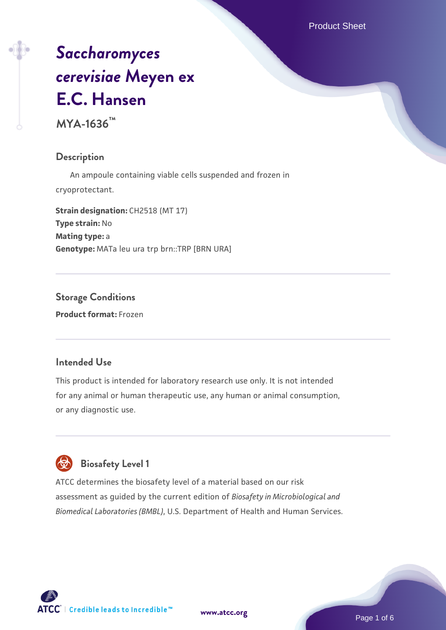Product Sheet

# *[Saccharomyces](https://www.atcc.org/products/mya-1636) [cerevisiae](https://www.atcc.org/products/mya-1636)* **[Meyen ex](https://www.atcc.org/products/mya-1636) [E.C. Hansen](https://www.atcc.org/products/mya-1636)**

**MYA-1636™**

#### **Description**

 An ampoule containing viable cells suspended and frozen in cryoprotectant.

**Strain designation: CH2518 (MT 17) Type strain:** No **Mating type:** a **Genotype:** MATa leu ura trp brn::TRP [BRN URA]

# **Storage Conditions**

**Product format:** Frozen

# **Intended Use**

This product is intended for laboratory research use only. It is not intended for any animal or human therapeutic use, any human or animal consumption, or any diagnostic use.

# **Biosafety Level 1**

ATCC determines the biosafety level of a material based on our risk assessment as guided by the current edition of *Biosafety in Microbiological and Biomedical Laboratories (BMBL)*, U.S. Department of Health and Human Services.

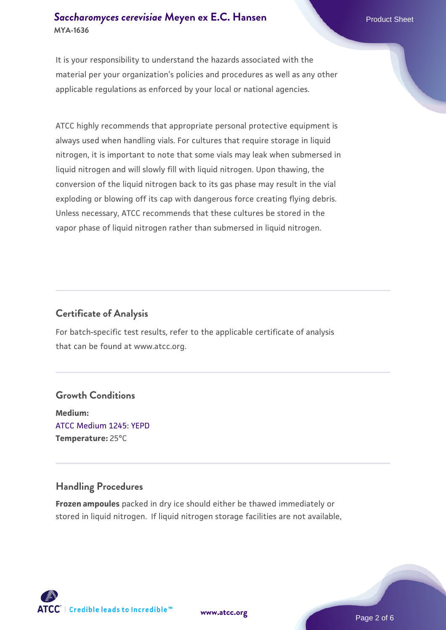# **[Saccharomyces cerevisiae](https://www.atcc.org/products/mya-1636)** [Meyen ex E.C. Hansen](https://www.atcc.org/products/mya-1636) **MYA-1636**

It is your responsibility to understand the hazards associated with the material per your organization's policies and procedures as well as any other applicable regulations as enforced by your local or national agencies.

ATCC highly recommends that appropriate personal protective equipment is always used when handling vials. For cultures that require storage in liquid nitrogen, it is important to note that some vials may leak when submersed in liquid nitrogen and will slowly fill with liquid nitrogen. Upon thawing, the conversion of the liquid nitrogen back to its gas phase may result in the vial exploding or blowing off its cap with dangerous force creating flying debris. Unless necessary, ATCC recommends that these cultures be stored in the vapor phase of liquid nitrogen rather than submersed in liquid nitrogen.

# **Certificate of Analysis**

For batch-specific test results, refer to the applicable certificate of analysis that can be found at www.atcc.org.

# **Growth Conditions**

**Medium:**  [ATCC Medium 1245: YEPD](https://www.atcc.org/-/media/product-assets/documents/microbial-media-formulations/1/2/4/5/atcc-medium-1245.pdf?rev=705ca55d1b6f490a808a965d5c072196) **Temperature:** 25°C

# **Handling Procedures**

**Frozen ampoules** packed in dry ice should either be thawed immediately or stored in liquid nitrogen. If liquid nitrogen storage facilities are not available,

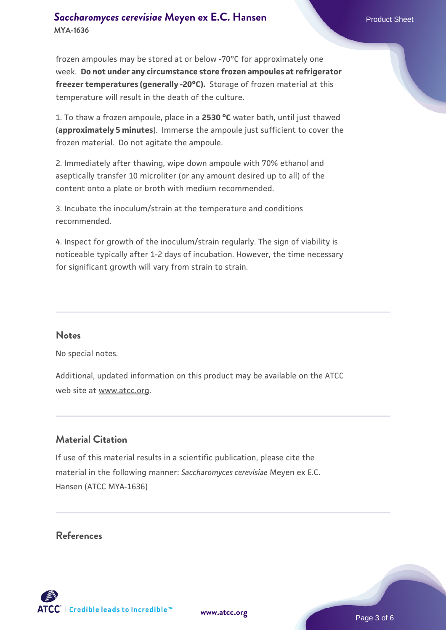# **[Saccharomyces cerevisiae](https://www.atcc.org/products/mya-1636)** [Meyen ex E.C. Hansen](https://www.atcc.org/products/mya-1636) **MYA-1636**

frozen ampoules may be stored at or below -70°C for approximately one week. **Do not under any circumstance store frozen ampoules at refrigerator freezer temperatures (generally -20°C).** Storage of frozen material at this temperature will result in the death of the culture.

1. To thaw a frozen ampoule, place in a **2530 °C** water bath, until just thawed (**approximately 5 minutes**). Immerse the ampoule just sufficient to cover the frozen material. Do not agitate the ampoule.

2. Immediately after thawing, wipe down ampoule with 70% ethanol and aseptically transfer 10 microliter (or any amount desired up to all) of the content onto a plate or broth with medium recommended.

3. Incubate the inoculum/strain at the temperature and conditions recommended.

4. Inspect for growth of the inoculum/strain regularly. The sign of viability is noticeable typically after 1-2 days of incubation. However, the time necessary for significant growth will vary from strain to strain.

#### **Notes**

No special notes.

Additional, updated information on this product may be available on the ATCC web site at www.atcc.org.

# **Material Citation**

If use of this material results in a scientific publication, please cite the material in the following manner: *Saccharomyces cerevisiae* Meyen ex E.C. Hansen (ATCC MYA-1636)

#### **References**



Page 3 of 6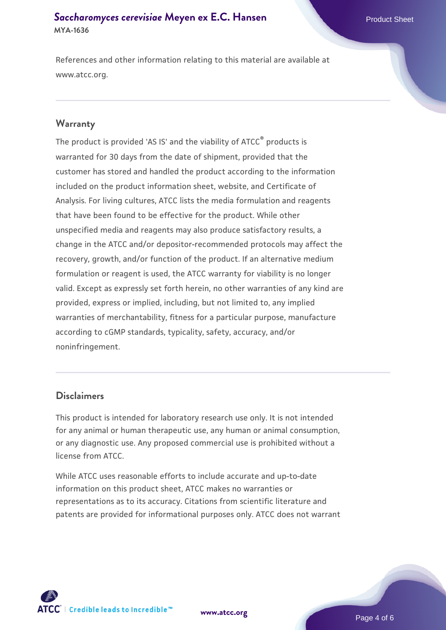# **[Saccharomyces cerevisiae](https://www.atcc.org/products/mya-1636)** [Meyen ex E.C. Hansen](https://www.atcc.org/products/mya-1636) **MYA-1636**

References and other information relating to this material are available at www.atcc.org.

#### **Warranty**

The product is provided 'AS IS' and the viability of ATCC® products is warranted for 30 days from the date of shipment, provided that the customer has stored and handled the product according to the information included on the product information sheet, website, and Certificate of Analysis. For living cultures, ATCC lists the media formulation and reagents that have been found to be effective for the product. While other unspecified media and reagents may also produce satisfactory results, a change in the ATCC and/or depositor-recommended protocols may affect the recovery, growth, and/or function of the product. If an alternative medium formulation or reagent is used, the ATCC warranty for viability is no longer valid. Except as expressly set forth herein, no other warranties of any kind are provided, express or implied, including, but not limited to, any implied warranties of merchantability, fitness for a particular purpose, manufacture according to cGMP standards, typicality, safety, accuracy, and/or noninfringement.

## **Disclaimers**

This product is intended for laboratory research use only. It is not intended for any animal or human therapeutic use, any human or animal consumption, or any diagnostic use. Any proposed commercial use is prohibited without a license from ATCC.

While ATCC uses reasonable efforts to include accurate and up-to-date information on this product sheet, ATCC makes no warranties or representations as to its accuracy. Citations from scientific literature and patents are provided for informational purposes only. ATCC does not warrant



**[www.atcc.org](http://www.atcc.org)**

Page 4 of 6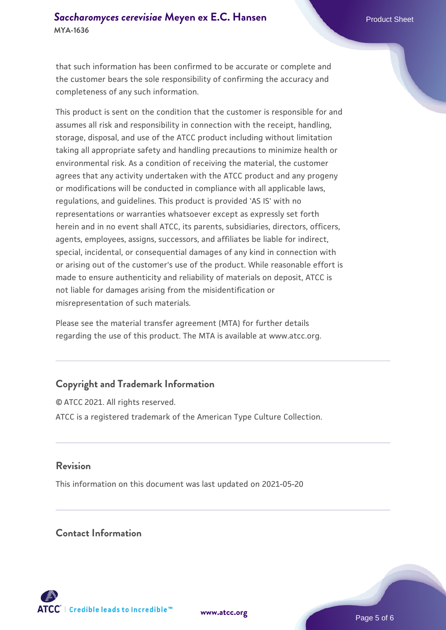that such information has been confirmed to be accurate or complete and the customer bears the sole responsibility of confirming the accuracy and completeness of any such information.

This product is sent on the condition that the customer is responsible for and assumes all risk and responsibility in connection with the receipt, handling, storage, disposal, and use of the ATCC product including without limitation taking all appropriate safety and handling precautions to minimize health or environmental risk. As a condition of receiving the material, the customer agrees that any activity undertaken with the ATCC product and any progeny or modifications will be conducted in compliance with all applicable laws, regulations, and guidelines. This product is provided 'AS IS' with no representations or warranties whatsoever except as expressly set forth herein and in no event shall ATCC, its parents, subsidiaries, directors, officers, agents, employees, assigns, successors, and affiliates be liable for indirect, special, incidental, or consequential damages of any kind in connection with or arising out of the customer's use of the product. While reasonable effort is made to ensure authenticity and reliability of materials on deposit, ATCC is not liable for damages arising from the misidentification or misrepresentation of such materials.

Please see the material transfer agreement (MTA) for further details regarding the use of this product. The MTA is available at www.atcc.org.

# **Copyright and Trademark Information**

© ATCC 2021. All rights reserved. ATCC is a registered trademark of the American Type Culture Collection.

# **Revision**

This information on this document was last updated on 2021-05-20

# **Contact Information**



**[www.atcc.org](http://www.atcc.org)**